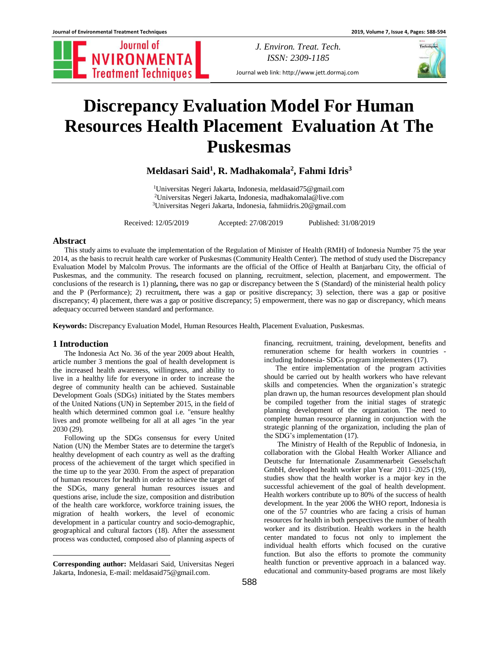Journal of **NVIRONMENTA**<br>Treatment Techniques

*J. Environ. Treat. Tech. ISSN: 2309-1185*

Journal web link: http://www.jett.dormaj.com

# **Discrepancy Evaluation Model For Human Resources Health Placement Evaluation At The Puskesmas**

**Meldasari Said<sup>1</sup> , R. Madhakomala<sup>2</sup> , Fahmi Idris<sup>3</sup>**

<sup>1</sup>Universitas Negeri Jakarta, Indonesia, [meldasaid75@gmail.com](mailto:meldasaid75@gmail.com) <sup>2</sup>Universitas Negeri Jakarta, Indonesia, [madhakomala@live.com](mailto:madhakomala@live.com) <sup>3</sup>Universitas Negeri Jakarta, Indonesia[, fahmiidris.20@gmail.com](mailto:fahmiidris.20@gmail.com)

Received: 12/05/2019 Accepted: 27/08/2019 Published: 31/08/2019

## **Abstract**

This study aims to evaluate the implementation of the Regulation of Minister of Health (RMH) of Indonesia Number 75 the year 2014, as the basis to recruit health care worker of Puskesmas (Community Health Center). The method of study used the Discrepancy Evaluation Model by Malcolm Provus. The informants are the official of the Office of Health at Banjarbaru City, the official of Puskesmas, and the community. The research focused on planning, recruitment, selection, placement, and empowerment. The conclusions of the research is 1) planning**,** there was no gap or discrepancy between the S (Standard) of the ministerial health policy and the P (Performance); 2) recruitment**,** there was a gap or positive discrepancy; 3) selection, there was a gap or positive discrepancy; 4) placement, there was a gap or positive discrepancy; 5) empowerment, there was no gap or discrepancy, which means adequacy occurred between standard and performance.

**Keywords:** Discrepancy Evaluation Model, Human Resources Health, Placement Evaluation, Puskesmas.

# **1 Introduction<sup>1</sup>**

 $\overline{a}$ 

The Indonesia Act No. 36 of the year 2009 about Health, article number 3 mentions the goal of health development is the increased health awareness, willingness, and ability to live in a healthy life for everyone in order to increase the degree of community health can be achieved. Sustainable Development Goals (SDGs) initiated by the States members of the United Nations (UN) in September 2015, in the field of health which determined common goal i.e. "ensure healthy lives and promote wellbeing for all at all ages "in the year 2030 (29).

Following up the SDGs consensus for every United Nation (UN) the Member States are to determine the target's healthy development of each country as well as the drafting process of the achievement of the target which specified in the time up to the year 2030. From the aspect of preparation of human resources for health in order to achieve the target of the SDGs, many general human resources issues and questions arise, include the size, composition and distribution of the health care workforce, workforce training issues, the migration of health workers, the level of economic development in a particular country and socio-demographic, geographical and cultural factors (18). After the assessment process was conducted, composed also of planning aspects of

588

financing, recruitment, training, development, benefits and remuneration scheme for health workers in countries including Indonesia- SDGs program implementers (17).

The entire implementation of the program activities should be carried out by health workers who have relevant skills and competencies. When the organization's strategic plan drawn up, the human resources development plan should be compiled together from the initial stages of strategic planning development of the organization. The need to complete human resource planning in conjunction with the strategic planning of the organization, including the plan of the SDG's implementation (17).

The Ministry of Health of the Republic of Indonesia, in collaboration with the Global Health Worker Alliance and Deutsche fur Internationale Zusammenarbeit Gesselschaft GmbH, developed health worker plan Year 2011–2025 (19), studies show that the health worker is a major key in the successful achievement of the goal of health development. Health workers contribute up to 80% of the success of health development. In the year 2006 the WHO report, Indonesia is one of the 57 countries who are facing a crisis of human resources for health in both perspectives the number of health worker and its distribution. Health workers in the health center mandated to focus not only to implement the individual health efforts which focused on the curative function. But also the efforts to promote the community health function or preventive approach in a balanced way. educational and community-based programs are most likely



**Corresponding author:** Meldasari Said, Universitas Negeri Jakarta, Indonesia, E-mail: [meldasaid75@gmail.com.](mailto:meldasaid75@gmail.com)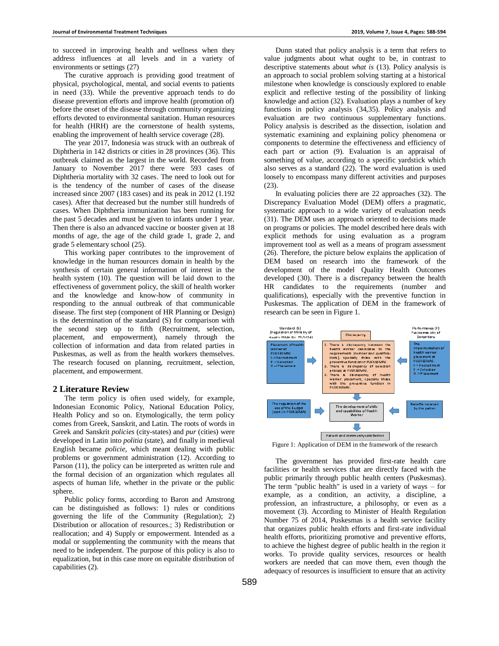to succeed in improving health and wellness when they address influences at all levels and in a variety of environments or settings (27)

The curative approach is providing good treatment of physical, psychological, mental, and social events to patients in need (33). While the preventive approach tends to do disease prevention efforts and improve health (promotion of) before the onset of the disease through community organizing efforts devoted to environmental sanitation. Human resources for health (HRH) are the cornerstone of health systems, enabling the improvement of health service coverage (28).

The year 2017, Indonesia was struck with an outbreak of Diphtheria in 142 districts or cities in 28 provinces (36). This outbreak claimed as the largest in the world. Recorded from January to November 2017 there were 593 cases of Diphtheria mortality with 32 cases. The need to look out for is the tendency of the number of cases of the disease increased since 2007 (183 cases) and its peak in 2012 (1.192 cases). After that decreased but the number still hundreds of cases. When Diphtheria immunization has been running for the past 5 decades and must be given to infants under 1 year. Then there is also an advanced vaccine or booster given at 18 months of age, the age of the child grade 1, grade 2, and grade 5 elementary school (25).

This working paper contributes to the improvement of knowledge in the human resources domain in health by the synthesis of certain general information of interest in the health system (10). The question will be laid down to the effectiveness of government policy, the skill of health worker and the knowledge and know-how of community in responding to the annual outbreak of that communicable disease. The first step (component of HR Planning or Design) is the determination of the standard (S) for comparison with the second step up to fifth (Recruitment, selection, placement, and empowerment), namely through the collection of information and data from related parties in Puskesmas, as well as from the health workers themselves. The research focused on planning, recruitment, selection, placement, and empowerment.

## **2 Literature Review**

The term policy is often used widely, for example, Indonesian Economic Policy, National Education Policy, Health Policy and so on. Etymologically, the term policy comes from Greek, Sanskrit, and Latin. The roots of words in Greek and Sanskrit *policies* (city-states) and *pur* (cities) were developed in Latin into *politia* (state), and finally in medieval English became *policie*, which meant dealing with public problems or government administration (12). According to Parson  $(11)$ , the policy can be interpreted as written rule and the formal decision of an organization which regulates all aspects of human life, whether in the private or the public sphere.

Public policy forms, according to Baron and Amstrong can be distinguished as follows: 1) rules or conditions governing the life of the Community (Regulation); 2) Distribution or allocation of resources.; 3) Redistribution or reallocation; and 4) Supply or empowerment. Intended as a modal or supplementing the community with the means that need to be independent. The purpose of this policy is also to equalization, but in this case more on equitable distribution of capabilities (2).

Dunn stated that policy analysis is a term that refers to value judgments about what ought to be, in contrast to descriptive statements about *what is* (13). Policy analysis is an approach to social problem solving starting at a historical milestone when knowledge is consciously explored to enable explicit and reflective testing of the possibility of linking knowledge and action (32). Evaluation plays a number of key functions in policy analysis (34,35). Policy analysis and evaluation are two continuous supplementary functions. Policy analysis is described as the dissection, isolation and systematic examining and explaining policy phenomena or components to determine the effectiveness and efficiency of each part or action (9). Evaluation is an appraisal of something of value, according to a specific yardstick which also serves as a standard (22). The word evaluation is used loosely to encompass many different activities and purposes (23).

In evaluating policies there are 22 approaches (32). The Discrepancy Evaluation Model (DEM) offers a pragmatic, systematic approach to a wide variety of evaluation needs (31). The DEM uses an approach oriented to decisions made on programs or policies. The model described here deals with explicit methods for using evaluation as a program improvement tool as well as a means of program assessment (26). Therefore, the picture below explains the application of DEM based on research into the framework of the development of the model Quality Health Outcomes developed (30). There is a discrepancy between the health HR candidates to the requirements (number and qualifications), especially with the preventive function in Puskesmas. The application of DEM in the framework of research can be seen in Figure 1.



Figure 1: Application of DEM in the framework of the research

The government has provided first-rate health care facilities or health services that are directly faced with the public primarily through public health centers (Puskesmas). The term "public health" is used in a variety of ways – for example, as a condition, an activity, a discipline, a profession, an infrastructure, a philosophy, or even as a movement (3). According to Minister of Health Regulation Number 75 of 2014, Puskesmas is a health service facility that organizes public health efforts and first-rate individual health efforts, prioritizing promotive and preventive efforts, to achieve the highest degree of public health in the region it works. To provide quality services, resources or health workers are needed that can move them, even though the adequacy of resources is insufficient to ensure that an activity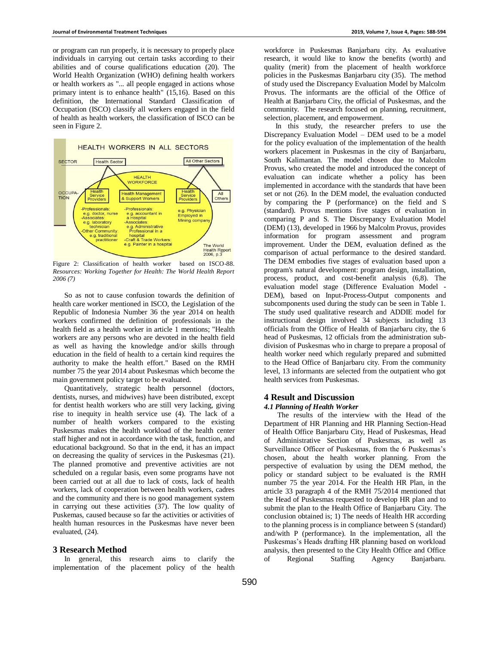or program can run properly, it is necessary to properly place individuals in carrying out certain tasks according to their abilities and of course qualifications education (20). The World Health Organization (WHO) defining health workers or health workers as "... all people engaged in actions whose primary intent is to enhance health" (15,16). Based on this definition, the International Standard Classification of Occupation (ISCO) classify all workers engaged in the field of health as health workers, the classification of ISCO can be seen in Figure 2.



Figure 2: Classification of health worker based on ISCO-88. *Resources: Working Together for Health: The World Health Report 2006 (7)*

So as not to cause confusion towards the definition of health care worker mentioned in ISCO, the Legislation of the Republic of Indonesia Number 36 the year 2014 on health workers confirmed the definition of professionals in the health field as a health worker in article 1 mentions; "Health workers are any persons who are devoted in the health field as well as having the knowledge and/or skills through education in the field of health to a certain kind requires the authority to make the health effort." Based on the RMH number 75 the year 2014 about Puskesmas which become the main government policy target to be evaluated.

Quantitatively, strategic health personnel (doctors, dentists, nurses, and midwives) have been distributed, except for dentist health workers who are still very lacking, giving rise to inequity in health service use (4). The lack of a number of health workers compared to the existing Puskesmas makes the health workload of the health center staff higher and not in accordance with the task, function, and educational background. So that in the end, it has an impact on decreasing the quality of services in the Puskesmas (21). The planned promotive and preventive activities are not scheduled on a regular basis, even some programs have not been carried out at all due to lack of costs, lack of health workers, lack of cooperation between health workers, cadres and the community and there is no good management system in carrying out these activities (37). The low quality of Puskemas, caused because so far the activities or activities of health human resources in the Puskesmas have never been evaluated, (24).

## **3 Research Method**

In general, this research aims to clarify the implementation of the placement policy of the health workforce in Puskesmas Banjarbaru city. As evaluative research, it would like to know the benefits (worth) and quality (merit) from the placement of health workforce policies in the Puskesmas Banjarbaru city (35). The method of study used the Discrepancy Evaluation Model by Malcolm Provus. The informants are the official of the Office of Health at Banjarbaru City, the official of Puskesmas, and the community. The research focused on planning, recruitment, selection, placement, and empowerment.

In this study, the researcher prefers to use the Discrepancy Evaluation Model – DEM used to be a model for the policy evaluation of the implementation of the health workers placement in Puskesmas in the city of Banjarbaru, South Kalimantan. The model chosen due to Malcolm Provus, who created the model and introduced the concept of evaluation can indicate whether a policy has been implemented in accordance with the standards that have been set or not (26). In the DEM model, the evaluation conducted by comparing the P (performance) on the field and S (standard). Provus mentions five stages of evaluation in comparing P and S. The Discrepancy Evaluation Model (DEM) (13), developed in 1966 by Malcolm Provus, provides information for program assessment and program improvement. Under the DEM, evaluation defined as the comparison of actual performance to the desired standard. The DEM embodies five stages of evaluation based upon a program's natural development: program design, installation, process, product, and cost-benefit analysis (6,8). The evaluation model stage (Difference Evaluation Model - DEM), based on Input-Process-Output components and subcomponents used during the study can be seen in Table 1. The study used qualitative research and ADDIE model for instructional design involved 34 subjects including 13 officials from the Office of Health of Banjarbaru city, the 6 head of Puskesmas, 12 officials from the administration subdivision of Puskesmas who in charge to prepare a proposal of health worker need which regularly prepared and submitted to the Head Office of Banjarbaru city. From the community level, 13 informants are selected from the outpatient who got health services from Puskesmas.

## **4 Result and Discussion**

# *4.1 Planning of Health Worker*

The results of the interview with the Head of the Department of HR Planning and HR Planning Section-Head of Health Office Banjarbaru City, Head of Puskesmas, Head of Administrative Section of Puskesmas, as well as Surveillance Officer of Puskesmas, from the 6 Puskesmas's chosen, about the health worker planning. From the perspective of evaluation by using the DEM method, the policy or standard subject to be evaluated is the RMH number 75 the year 2014. For the Health HR Plan, in the article 33 paragraph 4 of the RMH 75/2014 mentioned that the Head of Puskesmas requested to develop HR plan and to submit the plan to the Health Office of Banjarbaru City. The conclusion obtained is; 1) The needs of Health HR according to the planning process is in compliance between S (standard) and/with P (performance). In the implementation, all the Puskesmas's Heads drafting HR planning based on workload analysis, then presented to the City Health Office and Office of Regional Staffing Agency Banjarbaru.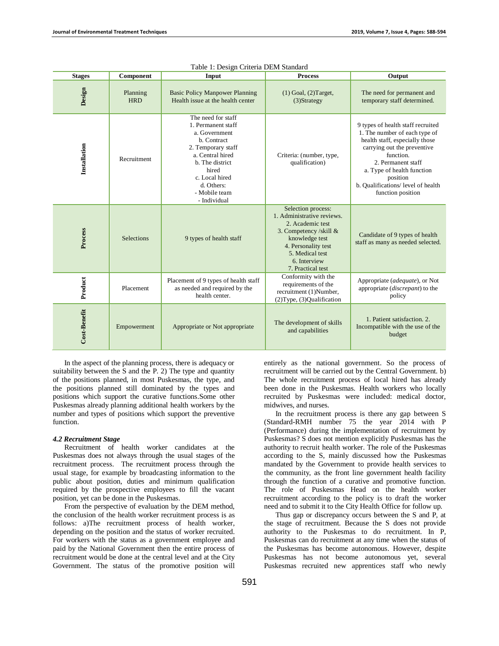| <b>Stages</b> | Component              | raoic 1. Besign enterna BEIn Buan<br>Input                                                                                                                                                                      | <b>Process</b>                                                                                                                                                                                  | Output                                                                                                                                                                                                                                                                      |
|---------------|------------------------|-----------------------------------------------------------------------------------------------------------------------------------------------------------------------------------------------------------------|-------------------------------------------------------------------------------------------------------------------------------------------------------------------------------------------------|-----------------------------------------------------------------------------------------------------------------------------------------------------------------------------------------------------------------------------------------------------------------------------|
| Design        | Planning<br><b>HRD</b> | <b>Basic Policy Manpower Planning</b><br>Health issue at the health center                                                                                                                                      | $(1)$ Goal, $(2)$ Target,<br>$(3)$ Strategy                                                                                                                                                     | The need for permanent and<br>temporary staff determined.                                                                                                                                                                                                                   |
| Installation  | Recruitment            | The need for staff<br>1. Permanent staff<br>a. Government<br>b. Contract<br>2. Temporary staff<br>a. Central hired<br>b. The district<br>hired<br>c. Local hired<br>d. Others:<br>- Mobile team<br>- Individual | Criteria: (number, type,<br>qualification)                                                                                                                                                      | 9 types of health staff recruited<br>1. The number of each type of<br>health staff, especially those<br>carrying out the preventive<br>function.<br>2. Permanent staff<br>a. Type of health function<br>position<br>b. Qualifications/ level of health<br>function position |
| Process       | Selections             | 9 types of health staff                                                                                                                                                                                         | Selection process:<br>1. Administrative reviews.<br>2. Academic test<br>3. Competency /skill &<br>knowledge test<br>4. Personality test<br>5. Medical test<br>6. Interview<br>7. Practical test | Candidate of 9 types of health<br>staff as many as needed selected.                                                                                                                                                                                                         |
| Product       | Placement              | Placement of 9 types of health staff<br>as needed and required by the<br>health center.                                                                                                                         | Conformity with the<br>requirements of the<br>recruitment (1)Number,<br>(2) Type, (3) Qualification                                                                                             | Appropriate (adequate), or Not<br>appropriate (discrepant) to the<br>policy                                                                                                                                                                                                 |
| Cost-Benefit  | Empowerment            | Appropriate or Not appropriate                                                                                                                                                                                  | The development of skills<br>and capabilities                                                                                                                                                   | 1. Patient satisfaction, 2.<br>Incompatible with the use of the<br>budget                                                                                                                                                                                                   |

In the aspect of the planning process, there is adequacy or suitability between the S and the P. 2) The type and quantity of the positions planned, in most Puskesmas, the type, and the positions planned still dominated by the types and positions which support the curative functions.Some other Puskesmas already planning additional health workers by the number and types of positions which support the preventive function.

## *4.2 Recruitment Stage*

Recruitment of health worker candidates at the Puskesmas does not always through the usual stages of the recruitment process. The recruitment process through the usual stage, for example by broadcasting information to the public about position, duties and minimum qualification required by the prospective employees to fill the vacant position, yet can be done in the Puskesmas.

From the perspective of evaluation by the DEM method, the conclusion of the health worker recruitment process is as follows: a)The recruitment process of health worker, depending on the position and the status of worker recruited. For workers with the status as a government employee and paid by the National Government then the entire process of recruitment would be done at the central level and at the City Government. The status of the promotive position will entirely as the national government. So the process of recruitment will be carried out by the Central Government. b) The whole recruitment process of local hired has already been done in the Puskesmas. Health workers who locally recruited by Puskesmas were included: medical doctor, midwives, and nurses.

In the recruitment process is there any gap between S (Standard-RMH number 75 the year 2014 with P (Performance) during the implementation of recruitment by Puskesmas? S does not mention explicitly Puskesmas has the authority to recruit health worker. The role of the Puskesmas according to the S, mainly discussed how the Puskesmas mandated by the Government to provide health services to the community, as the front line government health facility through the function of a curative and promotive function. The role of Puskesmas Head on the health worker recruitment according to the policy is to draft the worker need and to submit it to the City Health Office for follow up.

Thus gap or discrepancy occurs between the S and P, at the stage of recruitment. Because the S does not provide authority to the Puskesmas to do recruitment. In P, Puskesmas can do recruitment at any time when the status of the Puskesmas has become autonomous. However, despite Puskesmas has not become autonomous yet, several Puskesmas recruited new apprentices staff who newly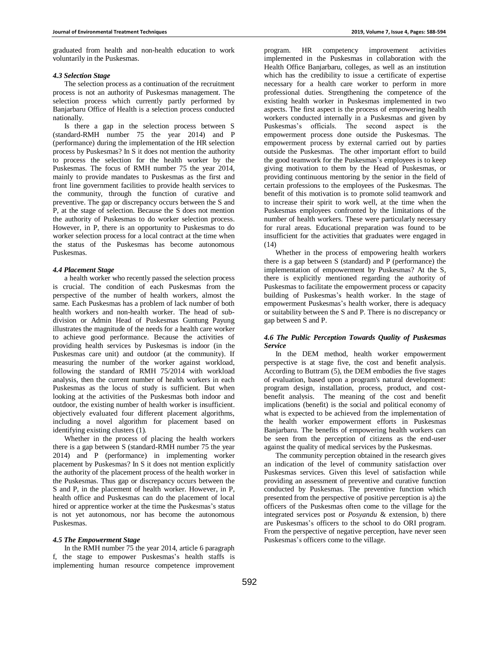graduated from health and non-health education to work voluntarily in the Puskesmas.

## *4.3 Selection Stage*

The selection process as a continuation of the recruitment process is not an authority of Puskesmas management. The selection process which currently partly performed by Banjarbaru Office of Health is a selection process conducted nationally.

Is there a gap in the selection process between S (standard-RMH number 75 the year 2014) and P (performance) during the implementation of the HR selection process by Puskesmas? In S it does not mention the authority to process the selection for the health worker by the Puskesmas. The focus of RMH number 75 the year 2014, mainly to provide mandates to Puskesmas as the first and front line government facilities to provide health services to the community, through the function of curative and preventive. The gap or discrepancy occurs between the S and P, at the stage of selection. Because the S does not mention the authority of Puskesmas to do worker selection process. However, in P, there is an opportunity to Puskesmas to do worker selection process for a local contract at the time when the status of the Puskesmas has become autonomous Puskesmas.

#### *4.4 Placement Stage*

a health worker who recently passed the selection process is crucial. The condition of each Puskesmas from the perspective of the number of health workers, almost the same. Each Puskesmas has a problem of lack number of both health workers and non-health worker. The head of subdivision or Admin Head of Puskesmas Guntung Payung illustrates the magnitude of the needs for a health care worker to achieve good performance. Because the activities of providing health services by Puskesmas is indoor (in the Puskesmas care unit) and outdoor (at the community). If measuring the number of the worker against workload, following the standard of RMH 75/2014 with workload analysis, then the current number of health workers in each Puskesmas as the locus of study is sufficient. But when looking at the activities of the Puskesmas both indoor and outdoor, the existing number of health worker is insufficient. objectively evaluated four different placement algorithms, including a novel algorithm for placement based on identifying existing clusters (1).

Whether in the process of placing the health workers there is a gap between S (standard-RMH number 75 the year 2014) and P (performance) in implementing worker placement by Puskesmas? In S it does not mention explicitly the authority of the placement process of the health worker in the Puskesmas. Thus gap or discrepancy occurs between the S and P, in the placement of health worker. However, in P, health office and Puskesmas can do the placement of local hired or apprentice worker at the time the Puskesmas's status is not yet autonomous, nor has become the autonomous Puskesmas.

## *4.5 The Empowerment Stage*

In the RMH number 75 the year 2014, article 6 paragraph f, the stage to empower Puskesmas's health staffs is implementing human resource competence improvement

program. HR competency improvement activities implemented in the Puskesmas in collaboration with the Health Office Banjarbaru, colleges, as well as an institution which has the credibility to issue a certificate of expertise necessary for a health care worker to perform in more professional duties. Strengthening the competence of the existing health worker in Puskesmas implemented in two aspects. The first aspect is the process of empowering health workers conducted internally in a Puskesmas and given by Puskesmas's officials. The second aspect is the empowerment process done outside the Puskesmas. The empowerment process by external carried out by parties outside the Puskesmas. The other important effort to build the good teamwork for the Puskesmas's employees is to keep giving motivation to them by the Head of Puskesmas, or providing continuous mentoring by the senior in the field of certain professions to the employees of the Puskesmas. The benefit of this motivation is to promote solid teamwork and to increase their spirit to work well, at the time when the Puskesmas employees confronted by the limitations of the number of health workers. These were particularly necessary for rural areas. Educational preparation was found to be insufficient for the activities that graduates were engaged in (14)

Whether in the process of empowering health workers there is a gap between S (standard) and P (performance) the implementation of empowerment by Puskesmas? At the S, there is explicitly mentioned regarding the authority of Puskesmas to facilitate the empowerment process or capacity building of Puskesmas's health worker. In the stage of empowerment Puskesmas's health worker, there is adequacy or suitability between the S and P. There is no discrepancy or gap between S and P.

# *4.6 The Public Perception Towards Quality of Puskesmas Service*

In the DEM method, health worker empowerment perspective is at stage five, the cost and benefit analysis. According to Buttram (5), the DEM embodies the five stages of evaluation, based upon a program's natural development: program design, installation, process, product, and costbenefit analysis. The meaning of the cost and benefit implications (benefit) is the social and political economy of what is expected to be achieved from the implementation of the health worker empowerment efforts in Puskesmas Banjarbaru. The benefits of empowering health workers can be seen from the perception of citizens as the end-user against the quality of medical services by the Puskesmas.

The community perception obtained in the research gives an indication of the level of community satisfaction over Puskesmas services. Given this level of satisfaction while providing an assessment of preventive and curative function conducted by Puskesmas. The preventive function which presented from the perspective of positive perception is a) the officers of the Puskesmas often come to the village for the integrated services post or *Posyandu* & extension, b) there are Puskesmas's officers to the school to do ORI program. From the perspective of negative perception, have never seen Puskesmas's officers come to the village.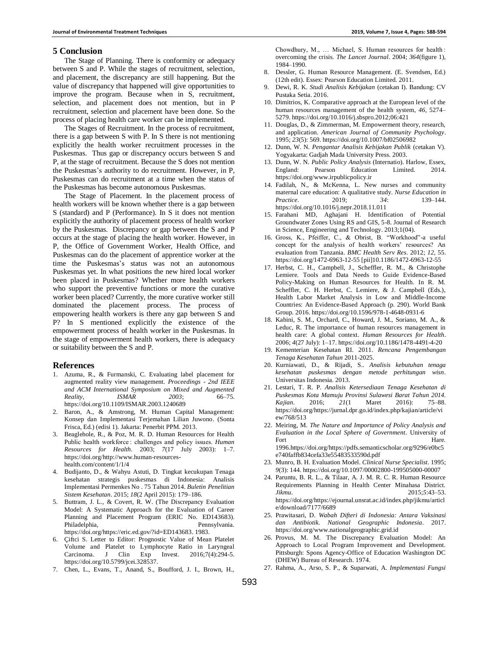#### **5 Conclusion**

The Stage of Planning. There is conformity or adequacy between S and P. While the stages of recruitment, selection, and placement, the discrepancy are still happening. But the value of discrepancy that happened will give opportunities to improve the program. Because when in S, recruitment, selection, and placement does not mention, but in P recruitment, selection and placement have been done. So the process of placing health care worker can be implemented.

The Stages of Recruitment. In the process of recruitment, there is a gap between S with P. In S there is not mentioning explicitly the health worker recruitment processes in the Puskesmas. Thus gap or discrepancy occurs between S and P, at the stage of recruitment. Because the S does not mention the Puskesmas's authority to do recruitment. However, in P, Puskesmas can do recruitment at a time when the status of the Puskesmas has become autonomous Puskesmas.

The Stage of Placement. In the placement process of health workers will be known whether there is a gap between S (standard) and P (Performance). In S it does not mention explicitly the authority of placement process of health worker by the Puskesmas. Discrepancy or gap between the S and P occurs at the stage of placing the health worker. However, in P, the Office of Government Worker, Health Office, and Puskesmas can do the placement of apprentice worker at the time the Puskesmas's status was not an autonomous Puskesmas yet. In what positions the new hired local worker been placed in Puskesmas? Whether more health workers who support the preventive functions or more the curative worker been placed? Currently, the more curative worker still dominated the placement process. The process of empowering health workers is there any gap between S and P? In S mentioned explicitly the existence of the empowerment process of health worker in the Puskesmas. In the stage of empowerment health workers, there is adequacy or suitability between the S and P.

#### **References**

- 1. Azuma, R., & Furmanski, C. Evaluating label placement for augmented reality view management. *Proceedings - 2nd IEEE and ACM International Symposium on Mixed and Augmented Reality, ISMAR 2003*; 66–75. https://doi.org/10.1109/ISMAR.2003.1240689
- 2. Baron, A., & Amstrong, M. Human Capital Management: Konsep dan Implementasi Terjemahan Lilian Juwono. (Sonta Frisca, Ed.) (edisi 1). Jakarta: Penerbit PPM. 2013.
- 3. Beaglehole, R., & Poz, M. R. D. Human Resources for Health Public health workforce : challenges and policy issues. *Human Resources for Health*. 2003; *7*(17 July 2003): 1–7. https://doi.org/http://www.human-resourceshealth.com/content/1/1/4
- 4. Budijanto, D., & Wahyu Astuti, D. Tingkat kecukupan Tenaga kesehatan strategis puskesmas di Indonesia: Analisis Implementasi Permenkes No . 75 Tahun 2014. *Buletin Penelitian Sistem Kesehatan*. 2015; *18*(2 April 2015): 179–186.
- 5. Buttram, J. L., & Covert, R. W. (The Discrepancy Evaluation Model: A Systematic Approach for the Evaluation of Career Planning and Placement Program (ERIC No. ED143683). Philadelphia, Pennsylvania. https://doi.org/https://eric.ed.gov/?id=ED143683. 1983.
- Çiftci S. Letter to Editor: Prognostic Value of Mean Platelet Volume and Platelet to Lymphocyte Ratio in Laryngeal Carcinoma. J Clin Exp Invest. 2016;7(4):294-5. [https://doi.org/10.5799/jcei.328537.](https://doi.org/10.5799/jcei.328537)
- 7. Chen, L., Evans, T., Anand, S., Boufford, J. I., Brown, H.,

Chowdhury, M., … Michael, S. Human resources for health : overcoming the crisis. *The Lancet Journal*. 2004; *364*(figure 1), 1984–1990.

- 8. Dessler, G. Human Resource Management. (E. Svendsen, Ed.) (12th edit). Essex: Pearson Education Limited. 2011.
- 9. Dewi, R. K. *Studi Analisis Kebijakan* (cetakan I). Bandung: CV Pustaka Setia. 2016.
- 10. Dimitrios, K. Comparative approach at the European level of the human resources management of the health system, *46*, 5274– 5279. https://doi.org/10.1016/j.sbspro.2012;06:421
- 11. Douglas, D., & Zimmerman, M. Empowerment theory, research, and application. *American Journal of Community Psychology*. 1995; *23*(5): 569. https://doi.org/10.1007/bf02506982
- 12. Dunn, W. N. *Pengantar Analisis Kebijakan Publik* (cetakan V). Yogyakarta: Gadjah Mada University Press. 2003.
- 13. Dunn, W. N. *Public Policy Analysis* (Internatio). Harlow, Essex, England: Pearson Education Limited. 2014. https://doi.org/www.irpublicpolicy.ir
- 14. Fadilah, N., & McKenna, L. New nurses and community maternal care education: A qualitative study. *Nurse Education in Practice*. 2019; *34*: 139–144. https://doi.org/10.1016/j.nepr.2018.11.011
- 15. Farahani MD, Aghajani H. Identification of Potential Groundwater Zones Using RS and GIS, 5-8. Journal of Research in Science, Engineering and Technology. 2013;1(04).
- 16. Gross, K., Pfeiffer, C., & Obrist, B. "Workhood"-a useful concept for the analysis of health workers' resources? An evaluation from Tanzania. *BMC Health Serv Res*. 2012; *12*, 55. https://doi.org/1472-6963-12-55 [pii]10.1186/1472-6963-12-55
- 17. Herbst, C. H., Campbell, J., Scheffler, R. M., & Christophe Lemiere. Tools and Data Needs to Guide Evidence-Based Policy-Making on Human Resources for Health. In R. M. Scheffler, C. H. Herbst, C. Lemiere, & J. Campbell (Eds.), Health Labor Market Analysis in Low and Middle-Income Countries: An Evidence-Based Approach (p. 290). World Bank Group. 2016. https://doi.org/10.1596/978-1-4648-0931-6
- 18. Kabini, S. M., Orchard, C., Howard, J. M., Soriano, M. A., & Leduc, R. The importance of human resources management in health care: A global context. *Human Resources for Health*. 2006; *4*(27 July): 1–17. https://doi.org/10.1186/1478-4491-4-20
- 19. Kementerian Kesehatan RI. 2011. *Rencana Pengembangan Tenaga Kesehatan Tahun* 2011-2025.
- 20. Kurniawati, D., & Rijadi, S.. *Analisis kebutuhan tenaga kesehatan puskesmas dengan metode perhitungan wisn*. Universitas Indonesia. 2013.
- 21. Lestari, T. R. P. *Analisis Ketersediaan Tenaga Kesehatan di Puskesmas Kota Mamuju Provinsi Sulawesi Barat Tahun 2014. Kajian*. 2016; *21*(1 Maret 2016): 75–88. https://doi.org/https://jurnal.dpr.go.id/index.php/kajian/article/vi ew/768/513
- 22. Meiring, M. *The Nature and Importance of Policy Analysis and Evaluation in the Local Sphere of Government*. University of Fort Hare. 1996.https://doi.org/https://pdfs.semanticscholar.org/9296/e0bc5 e740faffb834cefa33e55483533590d.pdf
- 23. Munro, B. H. Evaluation Model. *Clinical Nurse Specialist*. 1995; *9*(3): 144. https://doi.org/10.1097/00002800-199505000-00007
- 24. Paruntu, B. R. L., & Tilaar, A. J. M. R. C. R. Human Resource Requirements Planning in Health Center Minahasa District. *Jikmu*. 2015;*5*:43–53. https://doi.org/https://ejournal.unsrat.ac.id/index.php/jikmu/articl e/download/7177/6689
- 25. Prawitasari, D. *Wabah Difteri di Indonesia: Antara Vaksinasi dan Antibiotik. National Geographic Indonesia*. 2017. https://doi.org/www.nationalgeographic.grid.id
- 26. Provus, M. M. The Discrepancy Evaluation Model: An Approach to Local Program Improvement and Development. Pittsburgh: Spons Agency-Office of Education Washington DC (DHEW) Bureau of Research. 1974.
- 27. Rahma, A., Arso, S. P., & Suparwati, A. *Implementasi Fungsi*